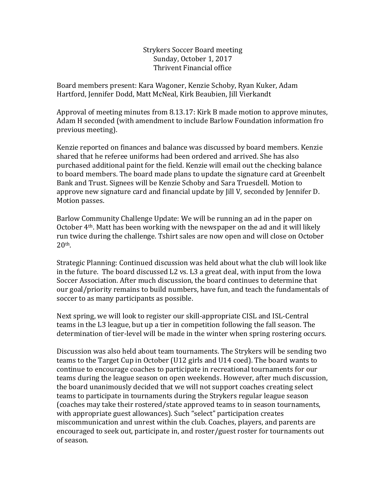Strykers Soccer Board meeting Sunday, October 1, 2017 Thrivent Financial office

Board members present: Kara Wagoner, Kenzie Schoby, Ryan Kuker, Adam Hartford, Jennifer Dodd, Matt McNeal, Kirk Beaubien, Jill Vierkandt

Approval of meeting minutes from 8.13.17: Kirk B made motion to approve minutes, Adam H seconded (with amendment to include Barlow Foundation information fro previous meeting).

Kenzie reported on finances and balance was discussed by board members. Kenzie shared that he referee uniforms had been ordered and arrived. She has also purchased additional paint for the field. Kenzie will email out the checking balance to board members. The board made plans to update the signature card at Greenbelt Bank and Trust. Signees will be Kenzie Schoby and Sara Truesdell. Motion to approve new signature card and financial update by Jill V, seconded by Jennifer D. Motion passes.

Barlow Community Challenge Update: We will be running an ad in the paper on October 4th. Matt has been working with the newspaper on the ad and it will likely run twice during the challenge. Tshirt sales are now open and will close on October 20th.

Strategic Planning: Continued discussion was held about what the club will look like in the future. The board discussed L2 vs. L3 a great deal, with input from the Iowa Soccer Association. After much discussion, the board continues to determine that our goal/priority remains to build numbers, have fun, and teach the fundamentals of soccer to as many participants as possible.

Next spring, we will look to register our skill-appropriate CISL and ISL-Central teams in the L3 league, but up a tier in competition following the fall season. The determination of tier-level will be made in the winter when spring rostering occurs.

Discussion was also held about team tournaments. The Strykers will be sending two teams to the Target Cup in October (U12 girls and U14 coed). The board wants to continue to encourage coaches to participate in recreational tournaments for our teams during the league season on open weekends. However, after much discussion, the board unanimously decided that we will not support coaches creating select teams to participate in tournaments during the Strykers regular league season (coaches may take their rostered/state approved teams to in season tournaments, with appropriate guest allowances). Such "select" participation creates miscommunication and unrest within the club. Coaches, players, and parents are encouraged to seek out, participate in, and roster/guest roster for tournaments out of season.